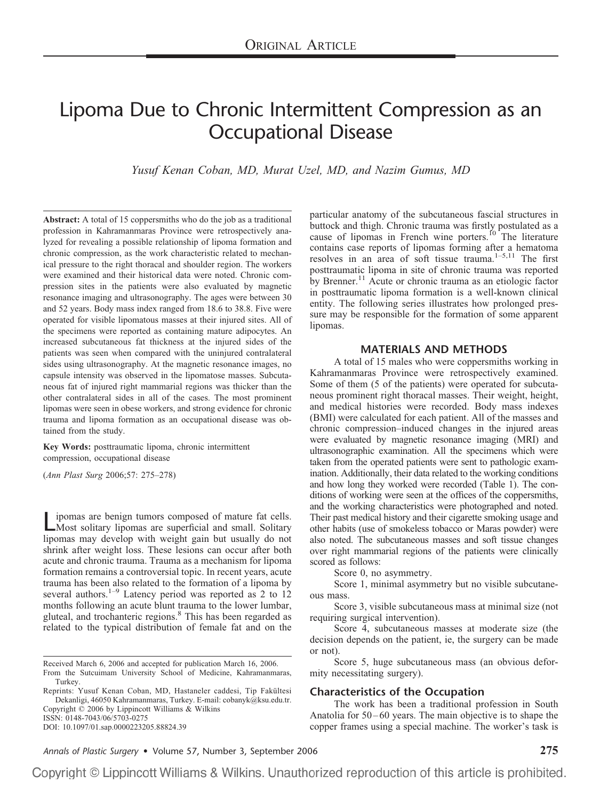# Lipoma Due to Chronic Intermittent Compression as an Occupational Disease

*Yusuf Kenan Coban, MD, Murat Uzel, MD, and Nazim Gumus, MD*

**Abstract:** A total of 15 coppersmiths who do the job as a traditional profession in Kahramanmaras Province were retrospectively analyzed for revealing a possible relationship of lipoma formation and chronic compression, as the work characteristic related to mechanical pressure to the right thoracal and shoulder region. The workers were examined and their historical data were noted. Chronic compression sites in the patients were also evaluated by magnetic resonance imaging and ultrasonography. The ages were between 30 and 52 years. Body mass index ranged from 18.6 to 38.8. Five were operated for visible lipomatous masses at their injured sites. All of the specimens were reported as containing mature adipocytes. An increased subcutaneous fat thickness at the injured sides of the patients was seen when compared with the uninjured contralateral sides using ultrasonography. At the magnetic resonance images, no capsule intensity was observed in the lipomatose masses. Subcutaneous fat of injured right mammarial regions was thicker than the other contralateral sides in all of the cases. The most prominent lipomas were seen in obese workers, and strong evidence for chronic trauma and lipoma formation as an occupational disease was obtained from the study.

**Key Words:** posttraumatic lipoma, chronic intermittent compression, occupational disease

(*Ann Plast Surg* 2006;57: 275–278)

ipomas are benign tumors composed of mature fat cells. Most solitary lipomas are superficial and small. Solitary lipomas may develop with weight gain but usually do not shrink after weight loss. These lesions can occur after both acute and chronic trauma. Trauma as a mechanism for lipoma formation remains a controversial topic. In recent years, acute trauma has been also related to the formation of a lipoma by several authors.<sup>1–9</sup> Latency period was reported as 2 to 12 months following an acute blunt trauma to the lower lumbar, gluteal, and trochanteric regions.8 This has been regarded as related to the typical distribution of female fat and on the

Received March 6, 2006 and accepted for publication March 16, 2006.

Reprints: Yusuf Kenan Coban, MD, Hastaneler caddesi, Tip Fakültesi Dekanligi, 46050 Kahramanmaras, Turkey. E-mail: cobanyk@ksu.edu.tr. Copyright © 2006 by Lippincott Williams & Wilkins

ISSN: 0148-7043/06/5703-0275 DOI: 10.1097/01.sap.0000223205.88824.39 particular anatomy of the subcutaneous fascial structures in buttock and thigh. Chronic trauma was firstly postulated as a cause of lipomas in French wine porters.<sup>10</sup> The literature contains case reports of lipomas forming after a hematoma resolves in an area of soft tissue trauma. $1-5,11$  The first posttraumatic lipoma in site of chronic trauma was reported by Brenner.<sup>11</sup> Acute or chronic trauma as an etiologic factor in posttraumatic lipoma formation is a well-known clinical entity. The following series illustrates how prolonged pressure may be responsible for the formation of some apparent lipomas.

### **MATERIALS AND METHODS**

A total of 15 males who were coppersmiths working in Kahramanmaras Province were retrospectively examined. Some of them (5 of the patients) were operated for subcutaneous prominent right thoracal masses. Their weight, height, and medical histories were recorded. Body mass indexes (BMI) were calculated for each patient. All of the masses and chronic compression–induced changes in the injured areas were evaluated by magnetic resonance imaging (MRI) and ultrasonographic examination. All the specimens which were taken from the operated patients were sent to pathologic examination. Additionally, their data related to the working conditions and how long they worked were recorded (Table 1). The conditions of working were seen at the offices of the coppersmiths, and the working characteristics were photographed and noted. Their past medical history and their cigarette smoking usage and other habits (use of smokeless tobacco or Maras powder) were also noted. The subcutaneous masses and soft tissue changes over right mammarial regions of the patients were clinically scored as follows:

Score 0, no asymmetry.

Score 1, minimal asymmetry but no visible subcutaneous mass.

Score 3, visible subcutaneous mass at minimal size (not requiring surgical intervention).

Score 4, subcutaneous masses at moderate size (the decision depends on the patient, ie, the surgery can be made or not).

Score 5, huge subcutaneous mass (an obvious deformity necessitating surgery).

## **Characteristics of the Occupation**

The work has been a traditional profession in South Anatolia for 50–60 years. The main objective is to shape the copper frames using a special machine. The worker's task is

*Annals of Plastic Surgery* • Volume 57, Number 3, September 2006 **275**

Copyright © Lippincott Williams & Wilkins. Unauthorized reproduction of this article is prohibited.

From the Sutcuimam University School of Medicine, Kahramanmaras, Turkey.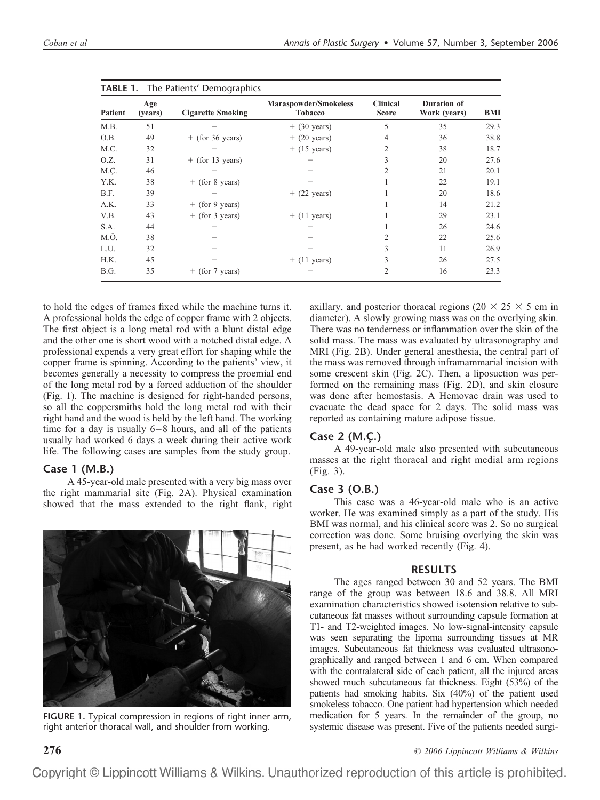|         | Age<br>(years) | <b>Cigarette Smoking</b> | Maraspowder/Smokeless<br><b>Tobacco</b> | <b>Clinical</b><br><b>Score</b> | Duration of<br>Work (years) | <b>BMI</b> |
|---------|----------------|--------------------------|-----------------------------------------|---------------------------------|-----------------------------|------------|
| Patient |                |                          |                                         |                                 |                             |            |
| M.B.    | 51             |                          | $+$ (30 years)                          | 5                               | 35                          | 29.3       |
| O.B.    | 49             | $+$ (for 36 years)       | $+$ (20 years)                          | 4                               | 36                          | 38.8       |
| M.C.    | 32             |                          | $+$ (15 years)                          | 2                               | 38                          | 18.7       |
| O.Z.    | 31             | $+$ (for 13 years)       |                                         | 3                               | 20                          | 27.6       |
| M.C.    | 46             |                          |                                         | $\overline{c}$                  | 21                          | 20.1       |
| Y.K.    | 38             | $+$ (for 8 years)        |                                         |                                 | 22                          | 19.1       |
| B.F.    | 39             |                          | $+$ (22 years)                          |                                 | 20                          | 18.6       |
| A.K.    | 33             | $+$ (for 9 years)        |                                         |                                 | 14                          | 21.2       |
| V.B.    | 43             | $+$ (for 3 years)        | $+$ (11 years)                          |                                 | 29                          | 23.1       |
| S.A.    | 44             |                          |                                         |                                 | 26                          | 24.6       |
| M.Ö.    | 38             |                          |                                         | $\overline{c}$                  | 22                          | 25.6       |
| L.U.    | 32             |                          |                                         | 3                               | 11                          | 26.9       |
| H.K.    | 45             |                          | $+$ (11 years)                          | 3                               | 26                          | 27.5       |
| B.G.    | 35             | $+$ (for 7 years)        |                                         | $\overline{c}$                  | 16                          | 23.3       |

to hold the edges of frames fixed while the machine turns it. A professional holds the edge of copper frame with 2 objects. The first object is a long metal rod with a blunt distal edge and the other one is short wood with a notched distal edge. A professional expends a very great effort for shaping while the copper frame is spinning. According to the patients' view, it becomes generally a necessity to compress the proemial end of the long metal rod by a forced adduction of the shoulder (Fig. 1). The machine is designed for right-handed persons, so all the coppersmiths hold the long metal rod with their right hand and the wood is held by the left hand. The working time for a day is usually 6–8 hours, and all of the patients usually had worked 6 days a week during their active work life. The following cases are samples from the study group.

## **Case 1 (M.B.)**

A 45-year-old male presented with a very big mass over the right mammarial site (Fig. 2A). Physical examination showed that the mass extended to the right flank, right



**FIGURE 1.** Typical compression in regions of right inner arm, right anterior thoracal wall, and shoulder from working.

axillary, and posterior thoracal regions (20  $\times$  25  $\times$  5 cm in diameter). A slowly growing mass was on the overlying skin. There was no tenderness or inflammation over the skin of the solid mass. The mass was evaluated by ultrasonography and MRI (Fig. 2B). Under general anesthesia, the central part of the mass was removed through inframammarial incision with some crescent skin (Fig. 2C). Then, a liposuction was performed on the remaining mass (Fig. 2D), and skin closure was done after hemostasis. A Hemovac drain was used to evacuate the dead space for 2 days. The solid mass was reported as containing mature adipose tissue.

## **Case 2 (M.C¸ .)**

A 49-year-old male also presented with subcutaneous masses at the right thoracal and right medial arm regions (Fig. 3).

## **Case 3 (O.B.)**

This case was a 46-year-old male who is an active worker. He was examined simply as a part of the study. His BMI was normal, and his clinical score was 2. So no surgical correction was done. Some bruising overlying the skin was present, as he had worked recently (Fig. 4).

#### **RESULTS**

The ages ranged between 30 and 52 years. The BMI range of the group was between 18.6 and 38.8. All MRI examination characteristics showed isotension relative to subcutaneous fat masses without surrounding capsule formation at T1- and T2-weighted images. No low-signal-intensity capsule was seen separating the lipoma surrounding tissues at MR images. Subcutaneous fat thickness was evaluated ultrasonographically and ranged between 1 and 6 cm. When compared with the contralateral side of each patient, all the injured areas showed much subcutaneous fat thickness. Eight (53%) of the patients had smoking habits. Six (40%) of the patient used smokeless tobacco. One patient had hypertension which needed medication for 5 years. In the remainder of the group, no systemic disease was present. Five of the patients needed surgi-

**276** *© 2006 Lippincott Williams & Wilkins*

Copyright © Lippincott Williams & Wilkins. Unauthorized reproduction of this article is prohibited.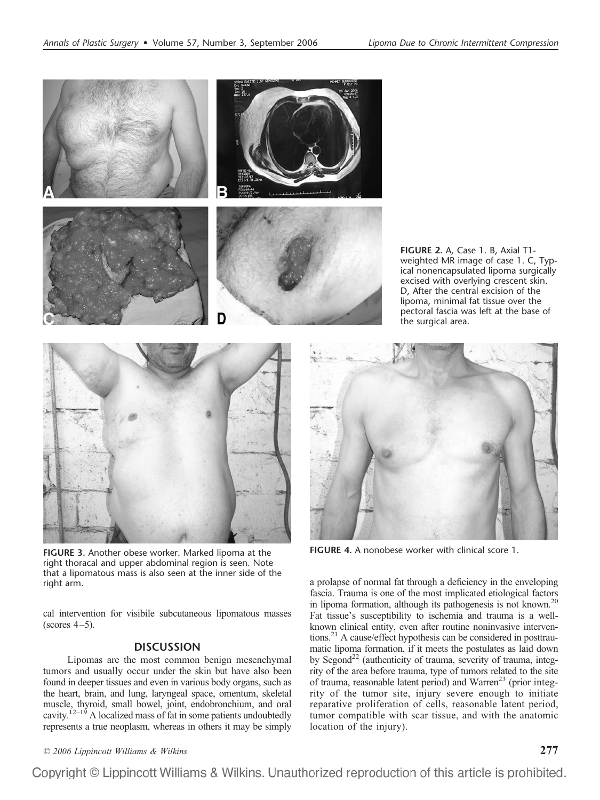

**FIGURE 3.** Another obese worker. Marked lipoma at the right thoracal and upper abdominal region is seen. Note that a lipomatous mass is also seen at the inner side of the right arm.

cal intervention for visibile subcutaneous lipomatous masses  $(scores 4-5)$ .

### **DISCUSSION**

Lipomas are the most common benign mesenchymal tumors and usually occur under the skin but have also been found in deeper tissues and even in various body organs, such as the heart, brain, and lung, laryngeal space, omentum, skeletal muscle, thyroid, small bowel, joint, endobronchium, and oral cavity.<sup> $12-19$ </sup> A localized mass of fat in some patients undoubtedly represents a true neoplasm, whereas in others it may be simply

weighted MR image of case 1. C, Typical nonencapsulated lipoma surgically excised with overlying crescent skin. D, After the central excision of the lipoma, minimal fat tissue over the pectoral fascia was left at the base of the surgical area.



**FIGURE 4.** A nonobese worker with clinical score 1.

a prolapse of normal fat through a deficiency in the enveloping fascia. Trauma is one of the most implicated etiological factors in lipoma formation, although its pathogenesis is not known.<sup>20</sup> Fat tissue's susceptibility to ischemia and trauma is a wellknown clinical entity, even after routine noninvasive interventions.<sup>21</sup> A cause/effect hypothesis can be considered in posttraumatic lipoma formation, if it meets the postulates as laid down by Segond<sup>22</sup> (authenticity of trauma, severity of trauma, integrity of the area before trauma, type of tumors related to the site of trauma, reasonable latent period) and Warren<sup>23</sup> (prior integrity of the tumor site, injury severe enough to initiate reparative proliferation of cells, reasonable latent period, tumor compatible with scar tissue, and with the anatomic location of the injury).

*© 2006 Lippincott Williams & Wilkins* **277**

Copyright © Lippincott Williams & Wilkins. Unauthorized reproduction of this article is prohibited.